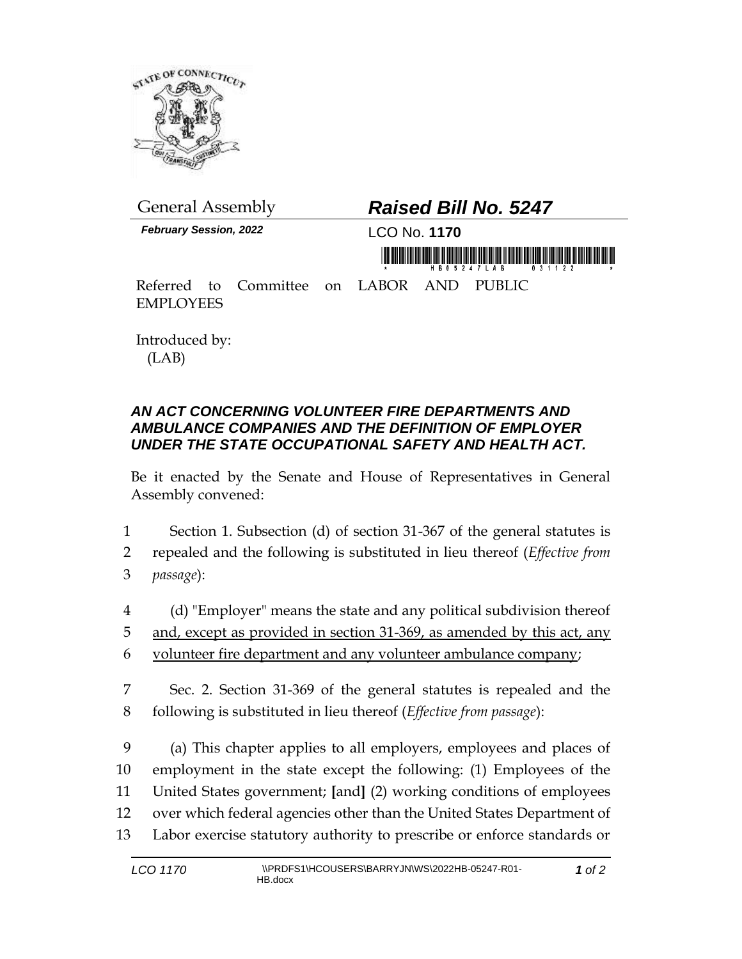

*February Session, 2022* LCO No. **1170**

## General Assembly *Raised Bill No. 5247*

Referred to Committee on LABOR AND PUBLIC EMPLOYEES

Introduced by: (LAB)

## *AN ACT CONCERNING VOLUNTEER FIRE DEPARTMENTS AND AMBULANCE COMPANIES AND THE DEFINITION OF EMPLOYER UNDER THE STATE OCCUPATIONAL SAFETY AND HEALTH ACT.*

Be it enacted by the Senate and House of Representatives in General Assembly convened:

- 1 Section 1. Subsection (d) of section 31-367 of the general statutes is
- 2 repealed and the following is substituted in lieu thereof (*Effective from*  3 *passage*):
- 4 (d) "Employer" means the state and any political subdivision thereof 5 and, except as provided in section 31-369, as amended by this act, any 6 volunteer fire department and any volunteer ambulance company;
- 7 Sec. 2. Section 31-369 of the general statutes is repealed and the 8 following is substituted in lieu thereof (*Effective from passage*):

 (a) This chapter applies to all employers, employees and places of employment in the state except the following: (1) Employees of the United States government; **[**and**]** (2) working conditions of employees over which federal agencies other than the United States Department of Labor exercise statutory authority to prescribe or enforce standards or